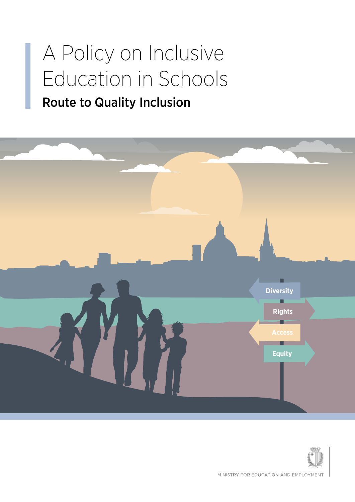### A Policy on Inclusive Education in Schools

#### Route to Quality Inclusion



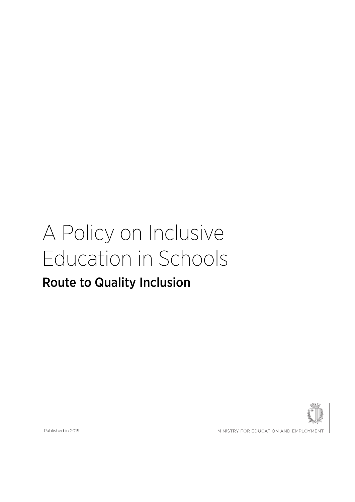### A Policy on Inclusive Education in Schools

#### Route to Quality Inclusion



Published in 2019

MINISTRY FOR EDUCATION AND EMPLOYMENT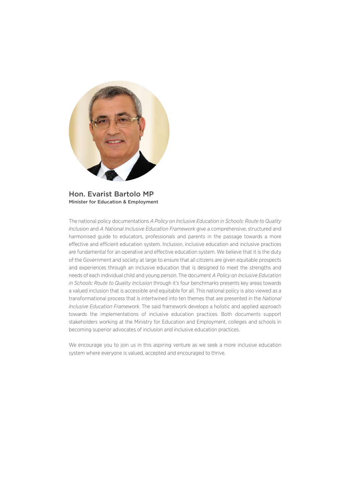

Hon. Evarist Bartolo MP Minister for Education & Employment

The national policy documentations *A Policy on Inclusive Education in Schools: Route to Quality Inclusion* and *A National Inclusive Education Framework* give a comprehensive, structured and harmonised guide to educators, professionals and parents in the passage towards a more effective and efficient education system. Inclusion, inclusive education and inclusive practices are fundamental for an operative and effective education system. We believe that it is the duty of the Government and society at large to ensure that all citizens are given equitable prospects and experiences through an inclusive education that is designed to meet the strengths and needs of each individual child and young person. The document *A Policy on Inclusive Education in Schools: Route to Quality Inclusion* through it's four benchmarks presents key areas towards a valued inclusion that is accessible and equitable for all. This national policy is also viewed as a transformational process that is intertwined into ten themes that are presented in the *National Inclusive Education Framework*. The said framework develops a holistic and applied approach towards the implementations of inclusive education practices. Both documents support stakeholders working at the Ministry for Education and Employment, colleges and schools in becoming superior advocates of inclusion and inclusive education practices.

We encourage you to join us in this aspiring venture as we seek a more inclusive education system where everyone is valued, accepted and encouraged to thrive.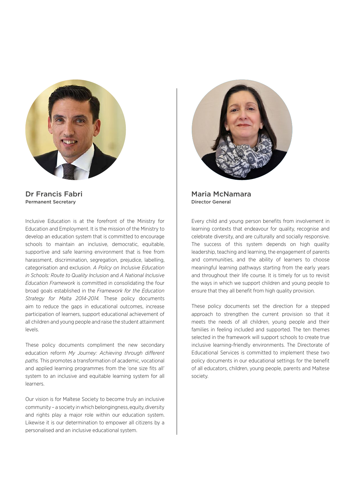

Dr Francis Fabri Permanent Secretary

Inclusive Education is at the forefront of the Ministry for Education and Employment. It is the mission of the Ministry to develop an education system that is committed to encourage schools to maintain an inclusive, democratic, equitable, supportive and safe learning environment that is free from harassment, discrimination, segregation, prejudice, labelling, categorisation and exclusion. *A Policy on Inclusive Education in Schools: Route to Quality Inclusion* and *A National Inclusive Education Framework* is committed in consolidating the four broad goals established in the *Framework for the Education Strategy for Malta 2014-2014.* These policy documents aim to reduce the gaps in educational outcomes, increase participation of learners, support educational achievement of all children and young people and raise the student attainment levels.

These policy documents compliment the new secondary education reform *My Journey: Achieving through different paths.* This promotes a transformation of academic, vocational and applied learning programmes from the 'one size fits all' system to an inclusive and equitable learning system for all learners.

Our vision is for Maltese Society to become truly an inclusive community – a society in which belongingness, equity, diversity and rights play a major role within our education system. Likewise it is our determination to empower all citizens by a personalised and an inclusive educational system.



Maria McNamara Director General

Every child and young person benefits from involvement in learning contexts that endeavour for quality, recognise and celebrate diversity, and are culturally and socially responsive. The success of this system depends on high quality leadership, teaching and learning, the engagement of parents and communities, and the ability of learners to choose meaningful learning pathways starting from the early years and throughout their life course. It is timely for us to revisit the ways in which we support children and young people to ensure that they all benefit from high quality provision.

These policy documents set the direction for a stepped approach to strengthen the current provision so that it meets the needs of all children, young people and their families in feeling included and supported. The ten themes selected in the framework will support schools to create true inclusive learning-friendly environments. The Directorate of Educational Services is committed to implement these two policy documents in our educational settings for the benefit of all educators, children, young people, parents and Maltese society.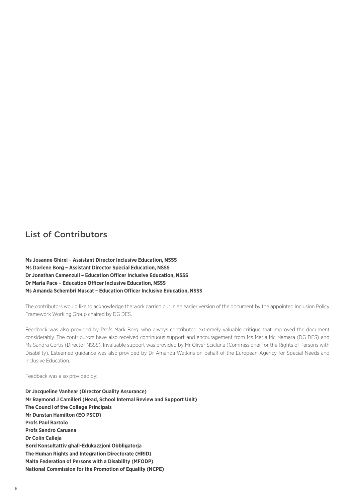#### List of Contributors

**Ms Josanne Ghirxi – Assistant Director Inclusive Education, NSSS Ms Darlene Borg – Assistant Director Special Education, NSSS Dr Jonathan Camenzuli – Education Officer Inclusive Education, NSSS Dr Maria Pace – Education Officer Inclusive Education, NSSS Ms Amanda Schembri Muscat – Education Officer Inclusive Education, NSSS**

The contributors would like to acknowledge the work carried out in an earlier version of the document by the appointed Inclusion Policy Framework Working Group chaired by DG DES.

Feedback was also provided by Profs Mark Borg, who always contributed extremely valuable critique that improved the document considerably. The contributors have also received continuous support and encouragement from Ms Maria Mc Namara (DG DES) and Ms Sandra Cortis (Director NSSS). Invaluable support was provided by Mr Oliver Scicluna (Commissioner for the Rights of Persons with Disability). Esteemed guidance was also provided by Dr Amanda Watkins on behalf of the European Agency for Special Needs and Inclusive Education.

Feedback was also provided by:

**Dr Jacqueline Vanhear (Director Quality Assurance) Mr Raymond J Camilleri (Head, School Internal Review and Support Unit) The Council of the College Principals Mr Dunstan Hamilton (EO PSCD) Profs Paul Bartolo Profs Sandro Caruana Dr Colin Calleja Bord Konsultattiv għall-Edukazzjoni Obbligatorja The Human Rights and Integration Directorate (HRID) Malta Federation of Persons with a Disability (MFODP) National Commission for the Promotion of Equality (NCPE)**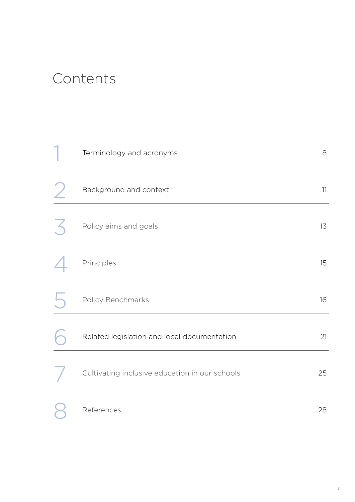#### Contents

| Terminology and acronyms                       | 8  |
|------------------------------------------------|----|
| Background and context                         | 11 |
| Policy aims and goals                          | 13 |
| Principles                                     | 15 |
| Policy Benchmarks                              | 16 |
| Related legislation and local documentation    | 21 |
| Cultivating inclusive education in our schools | 25 |
| References                                     | 28 |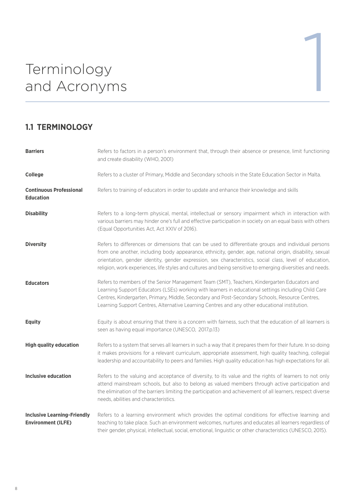# Terminology<br>and Acronyms<br>2008 and Acronyms

#### **1.1 TERMINOLOGY**

| <b>Barriers</b>                                                 | Refers to factors in a person's environment that, through their absence or presence, limit functioning<br>and create disability (WHO, 2001)                                                                                                                                                                                                                                                                                               |
|-----------------------------------------------------------------|-------------------------------------------------------------------------------------------------------------------------------------------------------------------------------------------------------------------------------------------------------------------------------------------------------------------------------------------------------------------------------------------------------------------------------------------|
| College                                                         | Refers to a cluster of Primary, Middle and Secondary schools in the State Education Sector in Malta.                                                                                                                                                                                                                                                                                                                                      |
| <b>Continuous Professional</b><br><b>Education</b>              | Refers to training of educators in order to update and enhance their knowledge and skills                                                                                                                                                                                                                                                                                                                                                 |
| <b>Disability</b>                                               | Refers to a long-term physical, mental, intellectual or sensory impairment which in interaction with<br>various barriers may hinder one's full and effective participation in society on an equal basis with others<br>(Equal Opportunities Act, Act XXIV of 2016).                                                                                                                                                                       |
| <b>Diversity</b>                                                | Refers to differences or dimensions that can be used to differentiate groups and individual persons<br>from one another, including body appearance, ethnicity, gender, age, national origin, disability, sexual<br>orientation, gender identity, gender expression, sex characteristics, social class, level of education,<br>religion, work experiences, life styles and cultures and being sensitive to emerging diversities and needs. |
| <b>Educators</b>                                                | Refers to members of the Senior Management Team (SMT), Teachers, Kindergarten Educators and<br>Learning Support Educators (LSEs) working with learners in educational settings including Child Care<br>Centres, Kindergarten, Primary, Middle, Secondary and Post-Secondary Schools, Resource Centres,<br>Learning Support Centres, Alternative Learning Centres and any other educational institution.                                   |
| <b>Equity</b>                                                   | Equity is about ensuring that there is a concern with fairness, such that the education of all learners is<br>seen as having equal importance (UNESCO, 2017.p.13)                                                                                                                                                                                                                                                                         |
| <b>High quality education</b>                                   | Refers to a system that serves all learners in such a way that it prepares them for their future. In so doing<br>it makes provisions for a relevant curriculum, appropriate assessment, high quality teaching, collegial<br>leadership and accountability to peers and families. High quality education has high expectations for all.                                                                                                    |
| <b>Inclusive education</b>                                      | Refers to the valuing and acceptance of diversity, to its value and the rights of learners to not only<br>attend mainstream schools, but also to belong as valued members through active participation and<br>the elimination of the barriers limiting the participation and achievement of all learners, respect diverse<br>needs, abilities and characteristics.                                                                        |
| <b>Inclusive Learning-Friendly</b><br><b>Environment (ILFE)</b> | Refers to a learning environment which provides the optimal conditions for effective learning and<br>teaching to take place. Such an environment welcomes, nurtures and educates all learners regardless of<br>their gender, physical, intellectual, social, emotional, linguistic or other characteristics (UNESCO, 2015).                                                                                                               |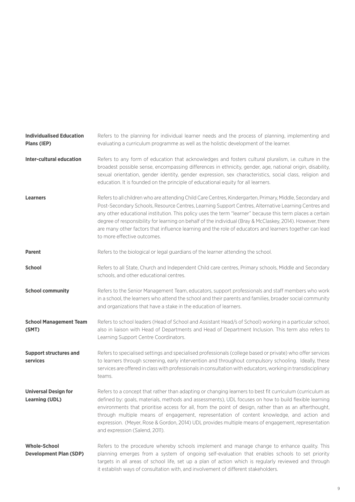| <b>Individualised Education</b><br>Plans (IEP)       | Refers to the planning for individual learner needs and the process of planning, implementing and<br>evaluating a curriculum programme as well as the holistic development of the learner.                                                                                                                                                                                                                                                                                                                                                                                             |
|------------------------------------------------------|----------------------------------------------------------------------------------------------------------------------------------------------------------------------------------------------------------------------------------------------------------------------------------------------------------------------------------------------------------------------------------------------------------------------------------------------------------------------------------------------------------------------------------------------------------------------------------------|
| <b>Inter-cultural education</b>                      | Refers to any form of education that acknowledges and fosters cultural pluralism, i.e. culture in the<br>broadest possible sense, encompassing differences in ethnicity, gender, age, national origin, disability,<br>sexual orientation, gender identity, gender expression, sex characteristics, social class, religion and<br>education. It is founded on the principle of educational equity for all learners.                                                                                                                                                                     |
| <b>Learners</b>                                      | Refers to all children who are attending Child Care Centres, Kindergarten, Primary, Middle, Secondary and<br>Post-Secondary Schools, Resource Centres, Learning Support Centres, Alternative Learning Centres and<br>any other educational institution. This policy uses the term "learner" because this term places a certain<br>degree of responsibility for learning on behalf of the individual (Bray & McClaskey, 2014). However, there<br>are many other factors that influence learning and the role of educators and learners together can lead<br>to more effective outcomes. |
| <b>Parent</b>                                        | Refers to the biological or legal guardians of the learner attending the school.                                                                                                                                                                                                                                                                                                                                                                                                                                                                                                       |
| <b>School</b>                                        | Refers to all State, Church and Independent Child care centres, Primary schools, Middle and Secondary<br>schools, and other educational centres.                                                                                                                                                                                                                                                                                                                                                                                                                                       |
| <b>School community</b>                              | Refers to the Senior Management Team, educators, support professionals and staff members who work<br>in a school, the learners who attend the school and their parents and families, broader social community<br>and organizations that have a stake in the education of learners.                                                                                                                                                                                                                                                                                                     |
| <b>School Management Team</b><br>(SMT)               | Refers to school leaders (Head of School and Assistant Head/s of School) working in a particular school,<br>also in liaison with Head of Departments and Head of Department Inclusion. This term also refers to<br>Learning Support Centre Coordinators.                                                                                                                                                                                                                                                                                                                               |
| <b>Support structures and</b><br>services            | Refers to specialised settings and specialised professionals (college based or private) who offer services<br>to learners through screening, early intervention and throughout compulsory schooling. Ideally, these<br>services are offered in class with professionals in consultation with educators, working in transdisciplinary<br>teams.                                                                                                                                                                                                                                         |
| <b>Universal Design for</b><br><b>Learning (UDL)</b> | Refers to a concept that rather than adapting or changing learners to best fit curriculum (curriculum as<br>defined by: goals, materials, methods and assessments), UDL focuses on how to build flexible learning<br>environments that prioritise access for all, from the point of design, rather than as an afterthought,<br>through multiple means of engagement, representation of content knowledge, and action and<br>expression. (Meyer, Rose & Gordon, 2014) UDL provides multiple means of engagement, representation<br>and expression (Salend, 2011).                       |
| <b>Whole-School</b><br><b>Development Plan (SDP)</b> | Refers to the procedure whereby schools implement and manage change to enhance quality. This<br>planning emerges from a system of ongoing self-evaluation that enables schools to set priority<br>targets in all areas of school life, set up a plan of action which is regularly reviewed and through<br>it establish ways of consultation with, and involvement of different stakeholders.                                                                                                                                                                                           |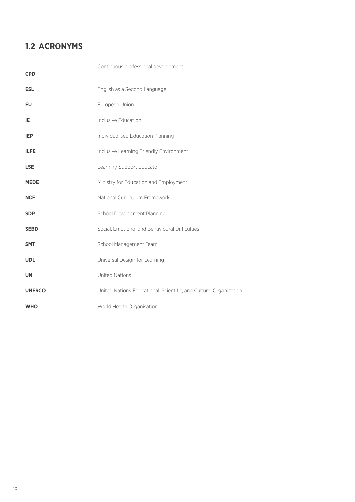#### **1.2 ACRONYMS**

| <b>CPD</b>    | Continuous professional development                               |
|---------------|-------------------------------------------------------------------|
| <b>ESL</b>    | English as a Second Language                                      |
| <b>EU</b>     | European Union                                                    |
| IE            | Inclusive Education                                               |
| <b>IEP</b>    | Individualised Education Planning                                 |
| <b>ILFE</b>   | Inclusive Learning Friendly Environment                           |
| <b>LSE</b>    | Learning Support Educator                                         |
| <b>MEDE</b>   | Ministry for Education and Employment                             |
| <b>NCF</b>    | National Curriculum Framework                                     |
| <b>SDP</b>    | School Development Planning                                       |
| <b>SEBD</b>   | Social, Emotional and Behavioural Difficulties                    |
| <b>SMT</b>    | School Management Team                                            |
| <b>UDL</b>    | Universal Design for Learning                                     |
| <b>UN</b>     | <b>United Nations</b>                                             |
| <b>UNESCO</b> | United Nations Educational, Scientific, and Cultural Organization |
| <b>WHO</b>    | World Health Organisation                                         |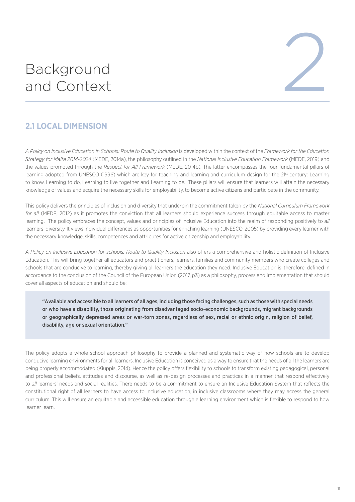### Background



#### **2.1 LOCAL DIMENSION**

*A Policy on Inclusive Education in Schools: Route to Quality Inclusion* is developed within the context of the *Framework for the Education Strategy for Malta 2014-2024* (MEDE, 2014a), the philosophy outlined in the *National Inclusive Education Framework* (MEDE, 2019) and the values promoted through the *Respect for All Framework* (MEDE, 2014b). The latter encompasses the four fundamental pillars of learning adopted from UNESCO (1996) which are key for teaching and learning and curriculum design for the 21st century: Learning to know, Learning to do, Learning to live together and Learning to be. These pillars will ensure that learners will attain the necessary knowledge of values and acquire the necessary skills for employability, to become active citizens and participate in the community.

This policy delivers the principles of inclusion and diversity that underpin the commitment taken by the *National Curriculum Framework for all* (MEDE, 2012) as it promotes the conviction that all learners should experience success through equitable access to master learning. The policy embraces the concept, values and principles of Inclusive Education into the realm of responding positively to *all* learners' diversity. It views individual differences as opportunities for enriching learning (UNESCO, 2005) by providing every learner with the necessary knowledge, skills, competences and attributes for active citizenship and employability.

*A Policy on Inclusive Education for schools: Route to Quality Inclusion* also offers a comprehensive and holistic definition of Inclusive Education. This will bring together all educators and practitioners, learners, families and community members who create colleges and schools that are conducive to learning, thereby giving all learners the education they need. Inclusive Education is, therefore, defined in accordance to the conclusion of the Council of the European Union (2017, p3) as a philosophy, process and implementation that should cover all aspects of education and should be:

"Available and accessible to all learners of all ages, including those facing challenges, such as those with special needs or who have a disability, those originating from disadvantaged socio-economic backgrounds, migrant backgrounds or geographically depressed areas or war-torn zones, regardless of sex, racial or ethnic origin, religion of belief, disability, age or sexual orientation."

The policy adopts a whole school approach philosophy to provide a planned and systematic way of how schools are to develop conducive learning environments for all learners. Inclusive Education is conceived as a way to ensure that the needs of all the learners are being properly accommodated (Kiuppis, 2014). Hence the policy offers flexibility to schools to transform existing pedagogical, personal and professional beliefs, attitudes and discourse, as well as re-design processes and practices in a manner that respond effectively to *all* learners' needs and social realities. There needs to be a commitment to ensure an Inclusive Education System that reflects the constitutional right of all learners to have access to inclusive education, in inclusive classrooms where they may access the general curriculum. This will ensure an equitable and accessible education through a learning environment which is flexible to respond to how learner learn.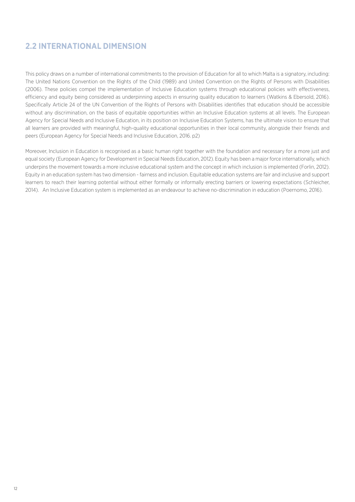#### **2.2 INTERNATIONAL DIMENSION**

This policy draws on a number of international commitments to the provision of Education for all to which Malta is a signatory, including: The United Nations Convention on the Rights of the Child (1989) and United Convention on the Rights of Persons with Disabilities (2006). These policies compel the implementation of Inclusive Education systems through educational policies with effectiveness, efficiency and equity being considered as underpinning aspects in ensuring quality education to learners (Watkins & Ebersold, 2016). Specifically Article 24 of the UN Convention of the Rights of Persons with Disabilities identifies that education should be accessible without any discrimination, on the basis of equitable opportunities within an Inclusive Education systems at all levels. The European Agency for Special Needs and Inclusive Education, in its position on Inclusive Education Systems, has the ultimate vision to ensure that all learners are provided with meaningful, high-quality educational opportunities in their local community, alongside their friends and peers (European Agency for Special Needs and Inclusive Education, 2016. p2)

Moreover, Inclusion in Education is recognised as a basic human right together with the foundation and necessary for a more just and equal society (European Agency for Development in Special Needs Education, 2012). Equity has been a major force internationally, which underpins the movement towards a more inclusive educational system and the concept in which inclusion is implemented (Forlin, 2012). Equity in an education system has two dimension - fairness and inclusion. Equitable education systems are fair and inclusive and support learners to reach their learning potential without either formally or informally erecting barriers or lowering expectations (Schleicher, 2014). An Inclusive Education system is implemented as an endeavour to achieve no-discrimination in education (Poernomo, 2016).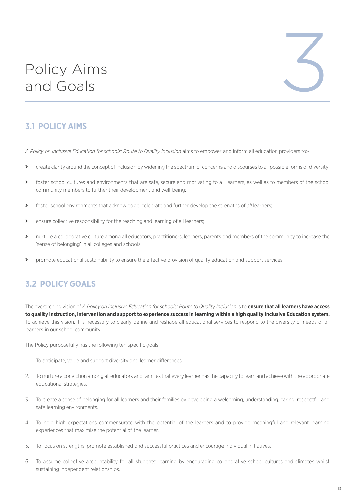### Policy Aims

# Policy Aims<br>and Goals

#### **3.1 POLICY AIMS**

*A Policy on Inclusive Education for schools: Route to Quality Inclusion* aims to empower and inform all education providers to:-

- treate clarity around the concept of inclusion by widening the spectrum of concerns and discourses to all possible forms of diversity;
- > foster school cultures and environments that are safe, secure and motivating to all learners, as well as to members of the school community members to further their development and well-being;
- ý foster school environments that acknowledge, celebrate and further develop the strengths of *all* learners;
- S ensure collective responsibility for the teaching and learning of all learners;
- > nurture a collaborative culture among all educators, practitioners, learners, parents and members of the community to increase the 'sense of belonging' in all colleges and schools;
- > promote educational sustainability to ensure the effective provision of quality education and support services.

#### **3.2 POLICY GOALS**

The overarching vision of *A Policy on Inclusive Education for schools: Route to Quality Inclusion* is to **ensure that all learners have access to quality instruction, intervention and support to experience success in learning within a high quality Inclusive Education system.**  To achieve this vision, it is necessary to clearly define and reshape all educational services to respond to the diversity of needs of all learners in our school community.

The Policy purposefully has the following ten specific goals:

- 1. To anticipate, value and support diversity and learner differences.
- 2. To nurture a conviction among all educators and families that every learner has the capacity to learn and achieve with the appropriate educational strategies.
- 3. To create a sense of belonging for all learners and their families by developing a welcoming, understanding, caring, respectful and safe learning environments.
- 4. To hold high expectations commensurate with the potential of the learners and to provide meaningful and relevant learning experiences that maximise the potential of the learner.
- 5. To focus on strengths, promote established and successful practices and encourage individual initiatives.
- 6. To assume collective accountability for all students' learning by encouraging collaborative school cultures and climates whilst sustaining independent relationships.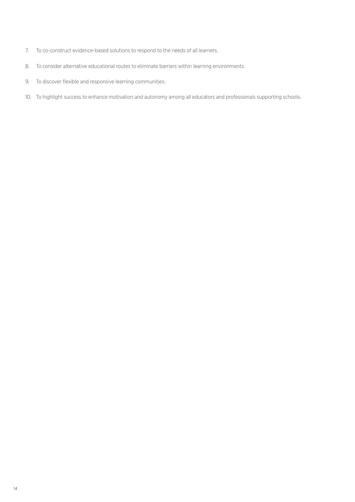- 7. To co-construct evidence-based solutions to respond to the needs of all learners.
- 8. To consider alternative educational routes to eliminate barriers within learning environments.
- 9. To discover flexible and responsive learning communities.
- 10. To highlight success to enhance motivation and autonomy among all educators and professionals supporting schools.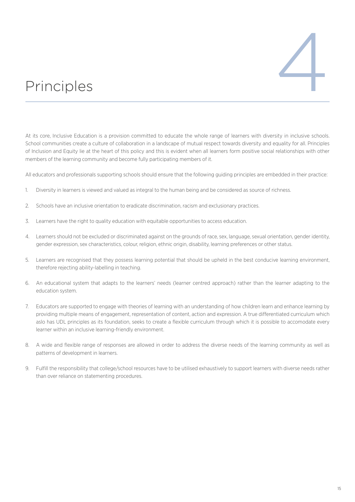

At its core, Inclusive Education is a provision committed to educate the whole range of learners with diversity in inclusive schools. School communities create a culture of collaboration in a landscape of mutual respect towards diversity and equality for all. Principles of Inclusion and Equity lie at the heart of this policy and this is evident when all learners form positive social relationships with other members of the learning community and become fully participating members of it.

All educators and professionals supporting schools should ensure that the following guiding principles are embedded in their practice:

- 1. Diversity in learners is viewed and valued as integral to the human being and be considered as source of richness.
- 2. Schools have an inclusive orientation to eradicate discrimination, racism and exclusionary practices.
- 3. Learners have the right to quality education with equitable opportunities to access education.
- 4. Learners should not be excluded or discriminated against on the grounds of race, sex, language, sexual orientation, gender identity, gender expression, sex characteristics, colour, religion, ethnic origin, disability, learning preferences or other status.
- 5. Learners are recognised that they possess learning potential that should be upheld in the best conducive learning environment, therefore rejecting ability-labelling in teaching.
- 6. An educational system that adapts to the learners' needs (learner centred approach) rather than the learner adapting to the education system.
- 7. Educators are supported to engage with theories of learning with an understanding of how children learn and enhance learning by providing multiple means of engagement, representation of content, action and expression. A true differentiated curriculum which aslo has UDL principles as its foundation, seeks to create a flexible curriculum through which it is possible to accomodate every learner within an inclusive learning-friendly environment.
- 8. A wide and flexible range of responses are allowed in order to address the diverse needs of the learning community as well as patterns of development in learners.
- 9. Fulfill the responsibility that college/school resources have to be utilised exhaustively to support learners with diverse needs rather than over reliance on statementing procedures.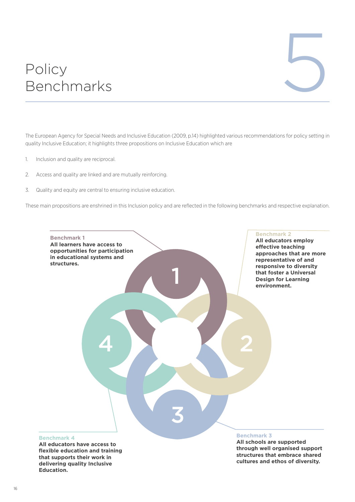# Policy Policy<br>Benchmarks

The European Agency for Special Needs and Inclusive Education (2009, p.14) highlighted various recommendations for policy setting in quality Inclusive Education; it highlights three propositions on Inclusive Education which are

- 1. Inclusion and quality are reciprocal.
- 2. Access and quality are linked and are mutually reinforcing.
- 3. Quality and equity are central to ensuring inclusive education.

These main propositions are enshrined in this Inclusion policy and are reflected in the following benchmarks and respective explanation.



**All educators have access to flexible education and training that supports their work in delivering quality Inclusive Education.**

**through well organised support structures that embrace shared cultures and ethos of diversity.**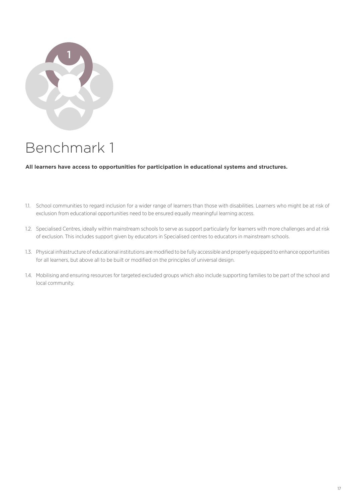

**All learners have access to opportunities for participation in educational systems and structures.**

- 1.1. School communities to regard inclusion for a wider range of learners than those with disabilities. Learners who might be at risk of exclusion from educational opportunities need to be ensured equally meaningful learning access.
- 1.2. Specialised Centres, ideally within mainstream schools to serve as support particularly for learners with more challenges and at risk of exclusion. This includes support given by educators in Specialised centres to educators in mainstream schools.
- 1.3. Physical infrastructure of educational institutions are modified to be fully accessible and properly equipped to enhance opportunities for all learners, but above all to be built or modified on the principles of universal design.
- 1.4. Mobilising and ensuring resources for targeted excluded groups which also include supporting families to be part of the school and local community.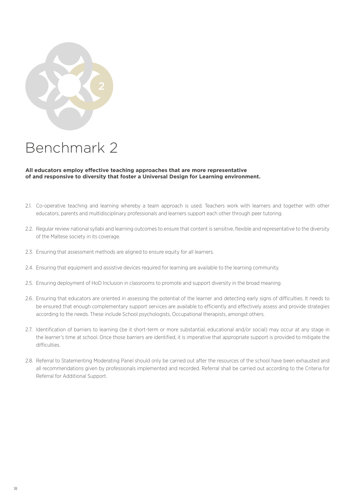

#### **All educators employ effective teaching approaches that are more representative of and responsive to diversity that foster a Universal Design for Learning environment.**

- 2.1. Co-operative teaching and learning whereby a team approach is used. Teachers work with learners and together with other educators, parents and multidisciplinary professionals and learners support each other through peer tutoring.
- 2.2. Regular review national syllabi and learning outcomes to ensure that content is sensitive, flexible and representative to the diversity of the Maltese society in its coverage.
- 2.3. Ensuring that assessment methods are aligned to ensure equity for all learners.
- 2.4. Ensuring that equipment and assistive devices required for learning are available to the learning community.
- 2.5. Ensuring deployment of HoD Inclusion in classrooms to promote and support diversity in the broad meaning.
- 2.6. Ensuring that educators are oriented in assessing the potential of the learner and detecting early signs of difficulties. It needs to be ensured that enough complementary support services are available to efficiently and effectively assess and provide strategies according to the needs. These include School psychologists, Occupational therapists, amongst others.
- 2.7. Identification of barriers to learning (be it short-term or more substantial, educational and/or social) may occur at any stage in the learner's time at school. Once those barriers are identified, it is imperative that appropriate support is provided to mitigate the difficulties.
- 2.8. Referral to Statementing Moderating Panel should only be carried out after the resources of the school have been exhausted and all recommendations given by professionals implemented and recorded. Referral shall be carried out according to the Criteria for Referral for Additional Support.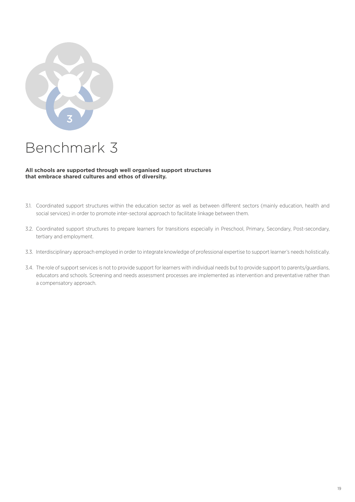

#### **All schools are supported through well organised support structures that embrace shared cultures and ethos of diversity.**

- 3.1. Coordinated support structures within the education sector as well as between different sectors (mainly education, health and social services) in order to promote inter-sectoral approach to facilitate linkage between them.
- 3.2. Coordinated support structures to prepare learners for transitions especially in Preschool, Primary, Secondary, Post-secondary, tertiary and employment.
- 3.3. Interdisciplinary approach employed in order to integrate knowledge of professional expertise to support learner's needs holistically.
- 3.4. The role of support services is not to provide support for learners with individual needs but to provide support to parents/guardians, educators and schools. Screening and needs assessment processes are implemented as intervention and preventative rather than a compensatory approach.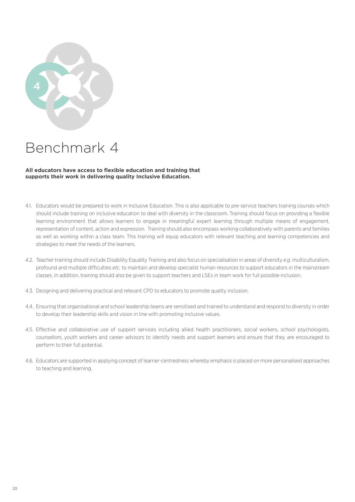

#### **All educators have access to flexible education and training that supports their work in delivering quality Inclusive Education.**

- 4.1. Educators would be prepared to work in Inclusive Education. This is also applicable to pre-service teachers training courses which should include training on inclusive education to deal with diversity in the classroom. Training should focus on providing a flexible learning environment that allows learners to engage in meaningful expert learning through multiple means of engagement, representation of content, action and expression. Training should also encompass working collaboratively with parents and families as well as working within a class team. This training will equip educators with relevant teaching and learning competencies and strategies to meet the needs of the learners.
- 4.2. Teacher training should include Disability Equality Training and also focus on specialisation in areas of diversity *e.g.* multiculturalism, profound and multiple difficulties *etc.* to maintain and develop specialist human resources to support educators in the mainstream classes. In addition, training should also be given to support teachers and LSEs in team work for full possible inclusion.
- 4.3. Designing and delivering practical and relevant CPD to educators to promote quality inclusion.
- 4.4. Ensuring that organisational and school leadership teams are sensitised and trained to understand and respond to diversity in order to develop their leadership skills and vision in line with promoting inclusive values.
- 4.5. Effective and collaborative use of support services including allied health practitioners, social workers, school psychologists, counsellors, youth workers and career advisors to identify needs and support learners and ensure that they are encouraged to perform to their full potential.
- 4.6. Educators are supported in applying concept of learner-centredness whereby emphasis is placed on more personalised approaches to teaching and learning.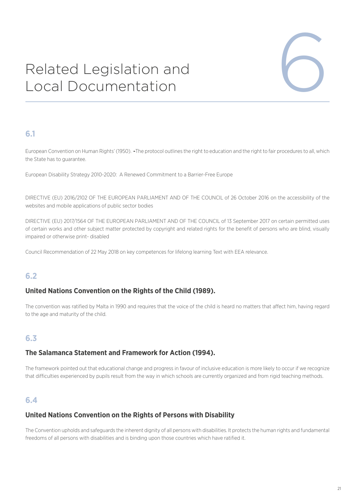# Related Legislation and Related Legislation and<br>Local Documentation



#### **6.1**

European Convention on Human Rights' (1950). **-**The protocol outlines the right to education and the right to fair procedures to all, which the State has to guarantee.

European Disability Strategy 2010-2020: A Renewed Commitment to a Barrier-Free Europe

DIRECTIVE (EU) 2016/2102 OF THE EUROPEAN PARLIAMENT AND OF THE COUNCIL of 26 October 2016 on the accessibility of the websites and mobile applications of public sector bodies

DIRECTIVE (EU) 2017/1564 OF THE EUROPEAN PARLIAMENT AND OF THE COUNCIL of 13 September 2017 on certain permitted uses of certain works and other subject matter protected by copyright and related rights for the benefit of persons who are blind, visually impaired or otherwise print- disabled

Council Recommendation of 22 May 2018 on key competences for lifelong learning Text with EEA relevance.

#### **6.2**

#### **United Nations Convention on the Rights of the Child (1989).**

The convention was ratified by Malta in 1990 and requires that the voice of the child is heard no matters that affect him, having regard to the age and maturity of the child.

#### **6.3**

#### **The Salamanca Statement and Framework for Action (1994).**

The framework pointed out that educational change and progress in favour of inclusive education is more likely to occur if we recognize that difficulties experienced by pupils result from the way in which schools are currently organized and from rigid teaching methods.

#### **6.4**

#### **United Nations Convention on the Rights of Persons with Disability**

The Convention upholds and safeguards the inherent dignity of all persons with disabilities. It protects the human rights and fundamental freedoms of all persons with disabilities and is binding upon those countries which have ratified it.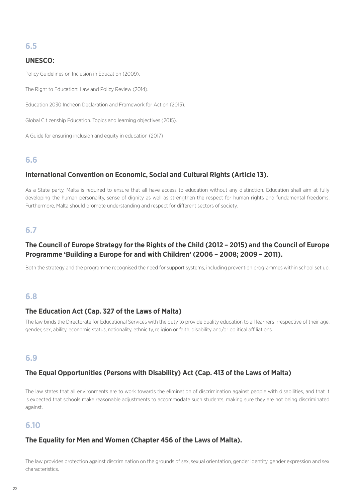#### **6.5**

#### **UNESCO:**

Policy Guidelines on Inclusion in Education (2009).

The Right to Education: Law and Policy Review (2014).

Education 2030 Incheon Declaration and Framework for Action (2015).

Global Citizenship Education. Topics and learning objectives (2015).

A Guide for ensuring inclusion and equity in education (2017)

#### **6.6**

#### **International Convention on Economic, Social and Cultural Rights (Article 13).**

As a State party, Malta is required to ensure that all have access to education without any distinction. Education shall aim at fully developing the human personality, sense of dignity as well as strengthen the respect for human rights and fundamental freedoms. Furthermore, Malta should promote understanding and respect for different sectors of society.

#### **6.7**

#### **The Council of Europe Strategy for the Rights of the Child (2012 – 2015) and the Council of Europe Programme 'Building a Europe for and with Children' (2006 – 2008; 2009 – 2011).**

Both the strategy and the programme recognised the need for support systems, including prevention programmes within school set up.

#### **6.8**

#### **The Education Act (Cap. 327 of the Laws of Malta)**

The law binds the Directorate for Educational Services with the duty to provide quality education to all learners irrespective of their age, gender, sex, ability, economic status, nationality, ethnicity, religion or faith, disability and/or political affiliations.

#### **6.9**

#### **The Equal Opportunities (Persons with Disability) Act (Cap. 413 of the Laws of Malta)**

The law states that all environments are to work towards the elimination of discrimination against people with disabilities, and that it is expected that schools make reasonable adjustments to accommodate such students, making sure they are not being discriminated against.

#### **6.10**

#### **The Equality for Men and Women (Chapter 456 of the Laws of Malta).**

The law provides protection against discrimination on the grounds of sex, sexual orientation, gender identity, gender expression and sex characteristics.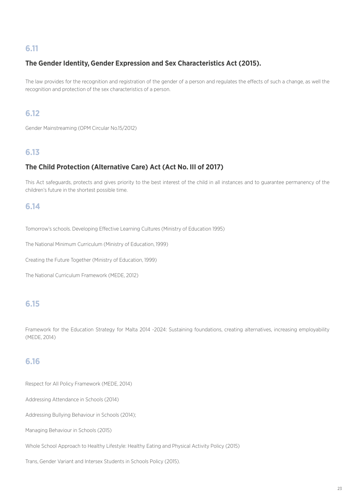#### **6.11**

#### **The Gender Identity, Gender Expression and Sex Characteristics Act (2015).**

The law provides for the recognition and registration of the gender of a person and regulates the effects of such a change, as well the recognition and protection of the sex characteristics of a person.

#### **6.12**

Gender Mainstreaming (OPM Circular No.15/2012)

#### **6.13**

#### **The Child Protection (Alternative Care) Act (Act No. III of 2017)**

This Act safeguards, protects and gives priority to the best interest of the child in all instances and to guarantee permanency of the children's future in the shortest possible time.

#### **6.14**

Tomorrow's schools. Developing Effective Learning Cultures (Ministry of Education 1995)

The National Minimum Curriculum (Ministry of Education, 1999)

Creating the Future Together (Ministry of Education, 1999)

The National Curriculum Framework (MEDE, 2012)

#### **6.15**

Framework for the Education Strategy for Malta 2014 -2024: Sustaining foundations, creating alternatives, increasing employability (MEDE, 2014)

#### **6.16**

Respect for All Policy Framework (MEDE, 2014)

Addressing Attendance in Schools (2014)

Addressing Bullying Behaviour in Schools (2014);

Managing Behaviour in Schools (2015)

Whole School Approach to Healthy Lifestyle: Healthy Eating and Physical Activity Policy (2015)

Trans, Gender Variant and Intersex Students in Schools Policy (2015).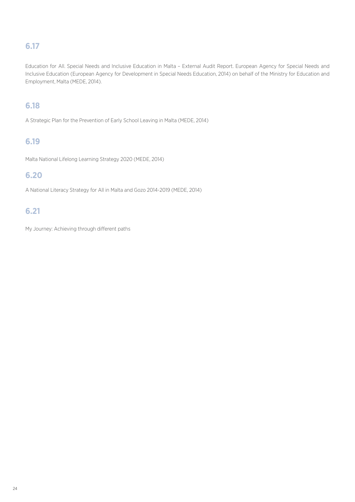#### **6.17**

Education for All. Special Needs and Inclusive Education in Malta – External Audit Report. European Agency for Special Needs and Inclusive Education (European Agency for Development in Special Needs Education, 2014) on behalf of the Ministry for Education and Employment, Malta (MEDE, 2014).

#### **6.18**

A Strategic Plan for the Prevention of Early School Leaving in Malta (MEDE, 2014)

#### **6.19**

Malta National Lifelong Learning Strategy 2020 (MEDE, 2014)

#### **6.20**

A National Literacy Strategy for All in Malta and Gozo 2014-2019 (MEDE, 2014)

#### **6.21**

My Journey: Achieving through different paths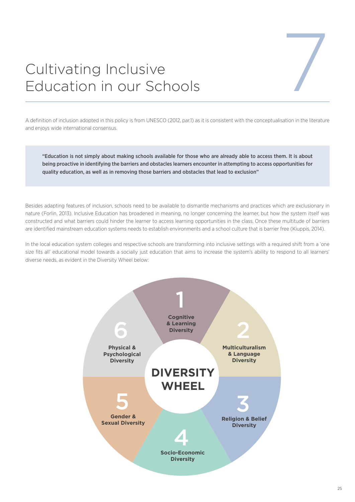# Cultivating Inclusive Cultivating Inclusive<br>Education in our Schools

A definition of inclusion adopted in this policy is from UNESCO (2012, par.1) as it is consistent with the conceptualisation in the literature and enjoys wide international consensus.

"Education is not simply about making schools available for those who are already able to access them. It is about being proactive in identifying the barriers and obstacles learners encounter in attempting to access opportunities for quality education, as well as in removing those barriers and obstacles that lead to exclusion"

Besides adapting features of inclusion, schools need to be available to dismantle mechanisms and practices which are exclusionary in nature (Forlin, 2013). Inclusive Education has broadened in meaning, no longer concerning the learner, but how the system itself was constructed and what barriers could hinder the learner to access learning opportunities in the class. Once these multitude of barriers are identified mainstream education systems needs to establish environments and a school culture that is barrier free (Kiuppis, 2014).

In the local education system colleges and respective schools are transforming into inclusive settings with a required shift from a 'one size fits all' educational model towards a socially just education that aims to increase the system's ability to respond to all learners' diverse needs, as evident in the Diversity Wheel below:

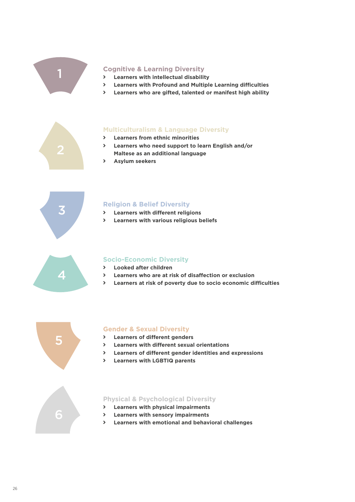

#### **Cognitive & Learning Diversity**

- ý **Learners with intellectual disability**
- ý **Learners with Profound and Multiple Learning difficulties**
- ý **Learners who are gifted, talented or manifest high ability**



#### **Multiculturalism & Language Diversity**

- ý **Learners from ethnic minorities**
- ý **Learners who need support to learn English and/or Maltese as an additional language**
- ý **Asylum seekers**



#### **Religion & Belief Diversity**

- ý **Learners with different religions**
- ý **Learners with various religious beliefs**



#### **Socio-Economic Diversity**

- ý **Looked after children**
- ý **Learners who are at risk of disaffection or exclusion**
- ý **Learners at risk of poverty due to socio economic difficulties**



#### **Gender & Sexual Diversity**

- ý **Learners of different genders**
- ý **Learners with different sexual orientations**
- ý **Learners of different gender identities and expressions**
- ý **Learners with LGBTIQ parents**

#### **Physical & Psychological Diversity**

- ý **Learners with physical impairments**
- ý **Learners with sensory impairments**
- ý **Learners with emotional and behavioral challenges**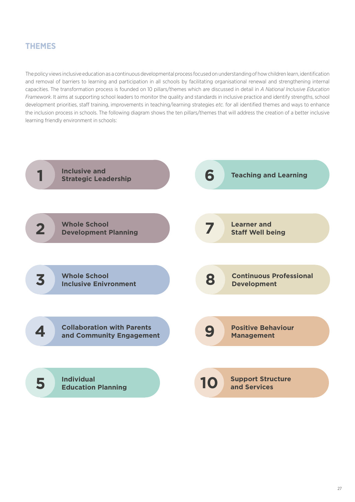#### **THEMES**

The policy views inclusive education as a continuous developmental process focused on understanding of how children learn, identification and removal of barriers to learning and participation in all schools by facilitating organisational renewal and strengthening internal capacities. The transformation process is founded on 10 pillars/themes which are discussed in detail in *A National Inclusive Education Framework*. It aims at supporting school leaders to monitor the quality and standards in inclusive practice and identify strengths, school development priorities, staff training, improvements in teaching/learning strategies *etc.* for all identified themes and ways to enhance the inclusion process in schools. The following diagram shows the ten pillars/themes that will address the creation of a better inclusive learning friendly environment in schools:

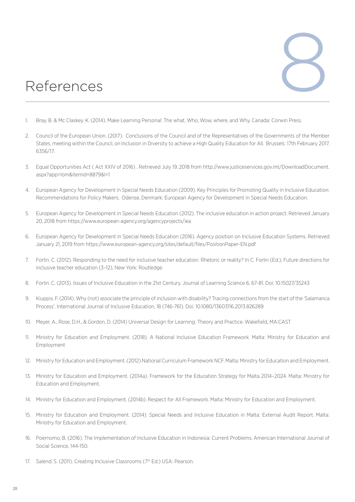# References

- 1. Bray. B. & Mc Claskey. K. (2014). Make Learning Personal: The what, Who, Wow, where, and Why. Canada: Corwin Press.
- 2. Council of the European Union. (2017). Conclusions of the Council and of the Representatives of the Governments of the Member States, meeting within the Council, on Inclusion in Diversity to achieve a High Quality Education for All. Brussels: 17th February 2017. 6356/17.
- 3. Equal Opportunities Act ( Act XXIV of 2016) . Retrieved July 19, 2018 from http://www.justiceservices.gov.mt/DownloadDocument. aspx?app=lom&itemid=8879&l=1
- 4. European Agency for Development in Special Needs Education (2009). Key Principles for Promoting Quality in Inclusive Education: Recommendations for Policy Makers. Odense, Denmark: European Agency for Development in Special Needs Education.
- 5. European Agency for Development in Special Needs Education (2012). The inclusive education in action project. Retrieved January 20, 2018 from<https://www.european-agency.org/agencyprojects/iea>
- 6. European Agency for Development in Special Needs Education (2016). Agency position on Inclusive Education Systems. Retrieved January 21, 2019 from <https://www.european-agency.org/sites/default/files/PositionPaper-EN.pdf>
- 7. Forlin. C. (2012). Responding to the need for inclusive teacher education: Rhetoric or reality? In C. Forlin (Ed.), Future directions for inclusive teacher education (3–12), New York: Routledge.
- 8. Forlin. C. (2013). Issues of Inclusive Education in the 21st Century. Journal of Learning Science 6, 67-81. Doi: [10.15027/35243](http://doi.org/10.15027/35243)
- 9. Kiuppis. F. (2014). Why (not) associate the principle of inclusion with disability? Tracing connections from the start of the 'Salamanca Process'. International Journal of Inclusive Education, 18 (746-761). Doi: [10.1080/13603116.2013.826289](https://doi.org/10.1080/13603116.2013.826289)
- 10. Meyer, A., Rose, D.H., & Gordon, D. (2014) Universal Design for Learning: Theory and Practice. Wakefield, MA:CAST
- 11. Ministry for Education and Employment. (2018). A National Inclusive Education Framework. Malta: Ministry for Education and Employment
- 12. Ministry for Education and Employment. (2012) National Curriculum Framework NCF. Malta: Ministry for Education and Employment.
- 13. Ministry for Education and Employment. (2014a). Framework for the Education Strategy for Malta 2014–2024. Malta: Ministry for Education and Employment.
- 14. Ministry for Education and Employment. (2014b). Respect for All Framework. Malta: Ministry for Education and Employment.
- 15. Ministry for Education and Employment. (2014). Special Needs and Inclusive Education in Malta: External Audit Report. Malta: Ministry for Education and Employment.
- 16. Poernomo, B. (2016). The Implementation of Inclusive Education in Indonesia: Current Problems. American International Journal of Social Science, 144-150.
- 17. Salend. S. (2011). Creating Inclusive Classrooms (7<sup>th</sup> Ed.) USA: Pearson.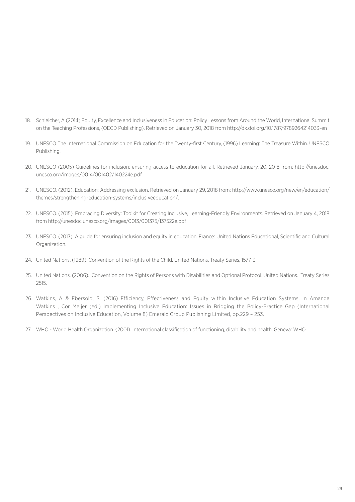- 18. Schleicher, A (2014) Equity, Excellence and Inclusiveness in Education: Policy Lessons from Around the World, International Summit on the Teaching Professions, (OECD Publishing). Retrieved on January 30, 2018 from<http://dx.doi.org/10.1787/9789264214033-en>
- 19. UNESCO The International Commission on Education for the Twenty-first Century, (1996) Learning: The Treasure Within. UNESCO Publishing.
- 20. UNESCO (2005) Guidelines for inclusion: ensuring access to education for all. Retrieved January, 20, 2018 from: [http://unesdoc.](http://unesdoc.unesco.org/images/0014/001402/140224e.pdf) [unesco.org/images/0014/001402/140224e.pdf](http://unesdoc.unesco.org/images/0014/001402/140224e.pdf)
- 21. UNESCO. (2012). Education: Addressing exclusion. Retrieved on January 29, 2018 from: http://www.unesco.org/new/en/education/ themes/strengthening-education-systems/inclusiveeducation/.
- 22. UNESCO. (2015). Embracing Diversity: Toolkit for Creating Inclusive, Learning-Friendly Environments. Retrieved on January 4, 2018 from <http://unesdoc.unesco.org/images/0013/001375/137522e.pdf>
- 23. UNESCO. (2017). A guide for ensuring inclusion and equity in education. France: United Nations Educational, Scientific and Cultural Organization.
- 24. United Nations. (1989). Convention of the Rights of the Child. United Nations, Treaty Series, 1577, 3.
- 25. United Nations. (2006). Convention on the Rights of Persons with Disabilities and Optional Protocol. United Nations. Treaty Series 2515.
- 26. [Watkins, A & Ebersold, S. \(](http://www.emeraldinsight.com/author/Watkins%2C+Amanda)2016) Efficiency, Effectiveness and Equity within Inclusive Education Systems. In Amanda Watkins , Cor Meijer (ed.) Implementing Inclusive Education: Issues in Bridging the Policy-Practice Gap (International Perspectives on Inclusive Education, Volume 8) Emerald Group Publishing Limited, pp.229 – 253.
- 27. WHO World Health Organization. (2001). International classification of functioning, disability and health. Geneva: WHO.